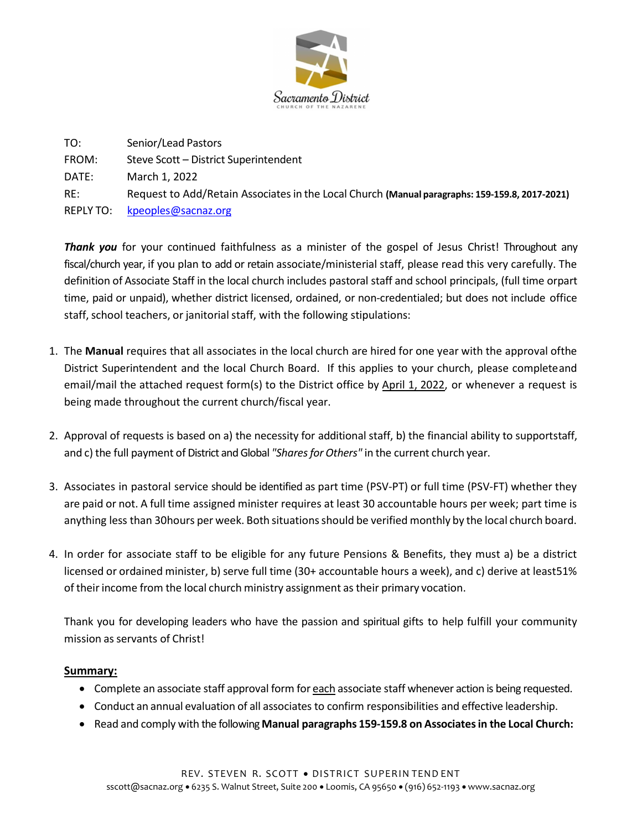

TO: Senior/Lead Pastors FROM: Steve Scott – District Superintendent DATE: March 1, 2022 RE: Request to Add/Retain Associates in the Local Church (Manual paragraphs: 159-159.8, 2017-2021) REPLY TO: kpeoples@sacnaz.org

Thank you for your continued faithfulness as a minister of the gospel of Jesus Christ! Throughout any fiscal/church year, if you plan to add or retain associate/ministerial staff, please read this very carefully. The definition of Associate Staff in the local church includes pastoral staff and school principals, (full time orpart time, paid or unpaid), whether district licensed, ordained, or non-credentialed; but does not include office staff, school teachers, or janitorial staff, with the following stipulations:

- 1. The Manual requires that all associates in the local church are hired for one year with the approval of the District Superintendent and the local Church Board. If this applies to your church, please complete and email/mail the attached request form(s) to the District office by April 1, 2022, or whenever a request is being made throughout the current church/fiscal year.
- 2. Approval of requests is based on a) the necessity for additional staff, b) the financial ability to supportstaff, and c) the full payment of District and Global "Shares for Others" in the current church year.
- 3. Associates in pastoral service should be identified as part time (PSV-PT) or full time (PSV-FT) whether they are paid or not. A full time assigned minister requires at least 30 accountable hours per week; part time is anything less than 30 hours per week. Both situations should be verified monthly by the local church board.
- 4. In order for associate staff to be eligible for any future Pensions & Benefits, they must a) be a district licensed or ordained minister, b) serve full time (30+ accountable hours a week), and c) derive at least 51% of their income from the local church ministry assignment as their primary vocation.

Thank you for developing leaders who have the passion and spiritual gifts to help fulfill your community mission as servants of Christ!

## Summary:

- Complete an associate staff approval form for each associate staff whenever action is being requested.
- Conduct an annual evaluation of all associates to confirm responsibilities and effective leadership.
- Read and comply with the following Manual paragraphs 159-159.8 on Associates in the Local Church: